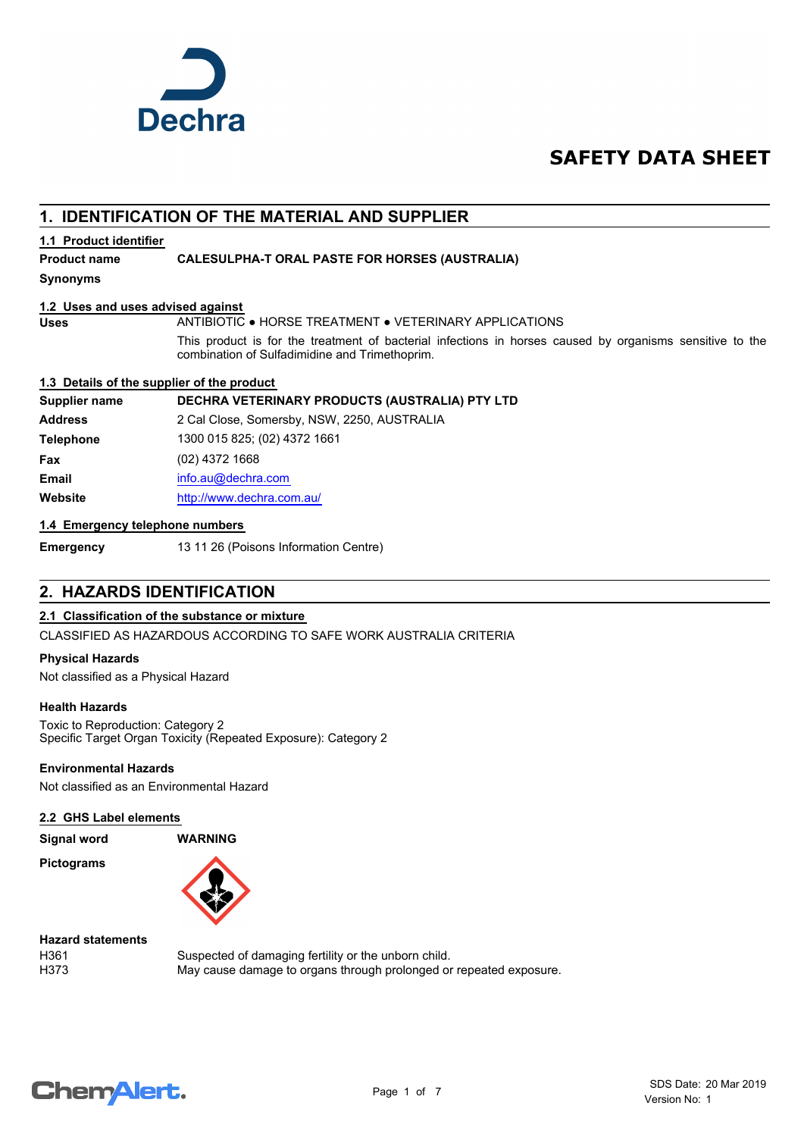

# **SAFETY DATA SHEET**

# **1. IDENTIFICATION OF THE MATERIAL AND SUPPLIER**

### **1.1 Product identifier**

### **Product name CALESULPHA-T ORAL PASTE FOR HORSES (AUSTRALIA)**

**Synonyms**

### **1.2 Uses and uses advised against**

**Uses** ANTIBIOTIC ● HORSE TREATMENT ● VETERINARY APPLICATIONS

This product is for the treatment of bacterial infections in horses caused by organisms sensitive to the combination of Sulfadimidine and Trimethoprim.

### **1.3 Details of the supplier of the product**

### **Supplier name DECHRA VETERINARY PRODUCTS (AUSTRALIA) PTY LTD**

**Address** 2 Cal Close, Somersby, NSW, 2250, AUSTRALIA **Telephone** 1300 015 825; (02) 4372 1661 **Fax** (02) 4372 1668 **Email** [info.au@](mailto:info.au@dechra.com)dechra.com **Website** [http://www.](http://www.dechra.com.au/)dechra.com.au/

### **1.4 Emergency telephone numbers**

**Emergency** 13 11 26 (Poisons Information Centre)

### **2. HAZARDS IDENTIFICATION**

### **2.1 Classification of the substance or mixture**

CLASSIFIED AS HAZARDOUS ACCORDING TO SAFE WORK AUSTRALIA CRITERIA

#### **Physical Hazards**

Not classified as a Physical Hazard

### **Health Hazards**

Toxic to Reproduction: Category 2 Specific Target Organ Toxicity (Repeated Exposure): Category 2

### **Environmental Hazards**

Not classified as an Environmental Hazard

#### **2.2 GHS Label elements**

**Signal word WARNING**

**Pictograms**



### **Hazard statements**

H361 Suspected of damaging fertility or the unborn child. H373 May cause damage to organs through prolonged or repeated exposure.

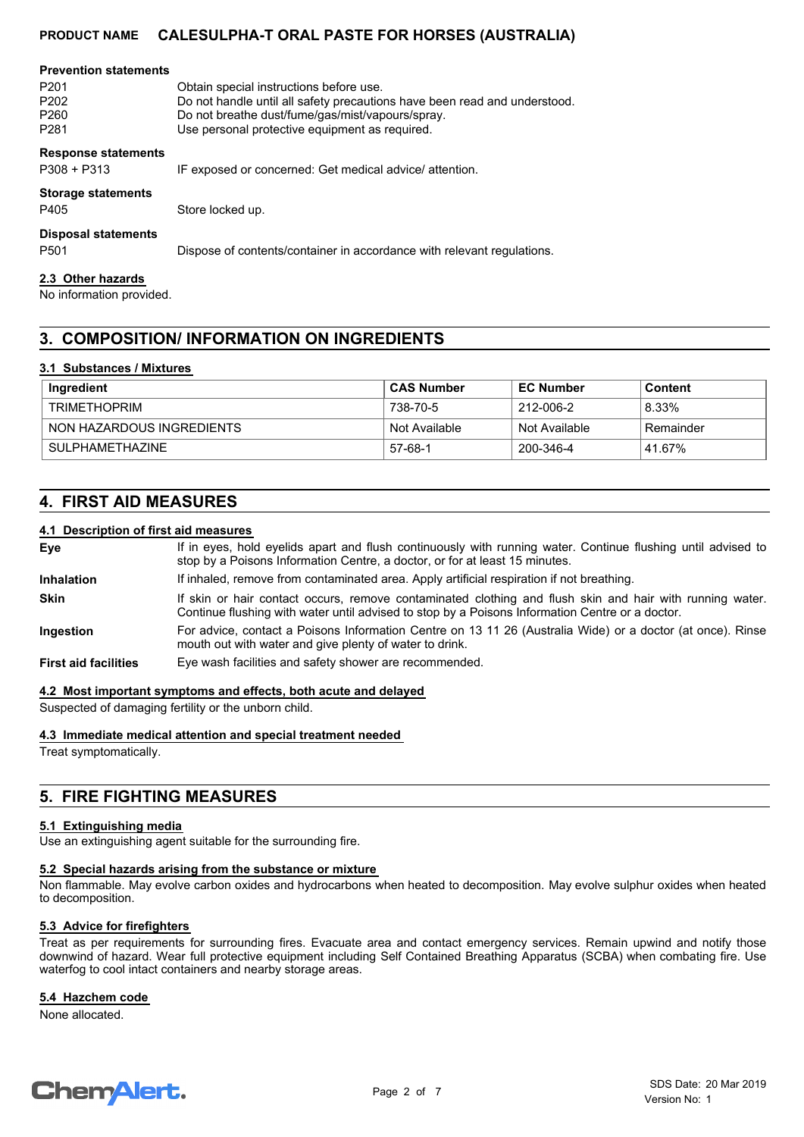| <b>Prevention statements</b><br>P <sub>201</sub><br>P <sub>202</sub><br>P <sub>260</sub><br>P <sub>281</sub> | Obtain special instructions before use.<br>Do not handle until all safety precautions have been read and understood.<br>Do not breathe dust/fume/gas/mist/vapours/spray.<br>Use personal protective equipment as required. |
|--------------------------------------------------------------------------------------------------------------|----------------------------------------------------------------------------------------------------------------------------------------------------------------------------------------------------------------------------|
| <b>Response statements</b><br>$P308 + P313$                                                                  | IF exposed or concerned: Get medical advice/ attention.                                                                                                                                                                    |
| <b>Storage statements</b><br>P405                                                                            | Store locked up.                                                                                                                                                                                                           |
| <b>Disposal statements</b><br>P <sub>501</sub>                                                               | Dispose of contents/container in accordance with relevant regulations.                                                                                                                                                     |
| 2.3 Other hazards                                                                                            |                                                                                                                                                                                                                            |

No information provided.

# **3. COMPOSITION/ INFORMATION ON INGREDIENTS**

### **3.1 Substances / Mixtures**

| Ingredient                | ⊦CAS Number   | <b>EC Number</b> | Content   |
|---------------------------|---------------|------------------|-----------|
| TRIMETHOPRIM              | 738-70-5      | 212-006-2        | 8.33%     |
| NON HAZARDOUS INGREDIENTS | Not Available | Not Available    | Remainder |
| SULPHAMETHAZINE           | 57-68-1       | 200-346-4        | 41.67%    |

# **4. FIRST AID MEASURES**

### **4.1 Description of first aid measures**

| Eye                         | If in eyes, hold eyelids apart and flush continuously with running water. Continue flushing until advised to<br>stop by a Poisons Information Centre, a doctor, or for at least 15 minutes.                 |
|-----------------------------|-------------------------------------------------------------------------------------------------------------------------------------------------------------------------------------------------------------|
| <b>Inhalation</b>           | If inhaled, remove from contaminated area. Apply artificial respiration if not breathing.                                                                                                                   |
| <b>Skin</b>                 | If skin or hair contact occurs, remove contaminated clothing and flush skin and hair with running water.<br>Continue flushing with water until advised to stop by a Poisons Information Centre or a doctor. |
| Ingestion                   | For advice, contact a Poisons Information Centre on 13 11 26 (Australia Wide) or a doctor (at once). Rinse<br>mouth out with water and give plenty of water to drink.                                       |
| <b>First aid facilities</b> | Eye wash facilities and safety shower are recommended.                                                                                                                                                      |

**4.2 Most important symptoms and effects, both acute and delayed**

Suspected of damaging fertility or the unborn child.

**4.3 Immediate medical attention and special treatment needed**

Treat symptomatically.

# **5. FIRE FIGHTING MEASURES**

#### **5.1 Extinguishing media**

Use an extinguishing agent suitable for the surrounding fire.

#### **5.2 Special hazards arising from the substance or mixture**

Non flammable. May evolve carbon oxides and hydrocarbons when heated to decomposition. May evolve sulphur oxides when heated to decomposition.

### **5.3 Advice for firefighters**

Treat as per requirements for surrounding fires. Evacuate area and contact emergency services. Remain upwind and notify those downwind of hazard. Wear full protective equipment including Self Contained Breathing Apparatus (SCBA) when combating fire. Use waterfog to cool intact containers and nearby storage areas.

### **5.4 Hazchem code**

None allocated.

# **ChemAlert.**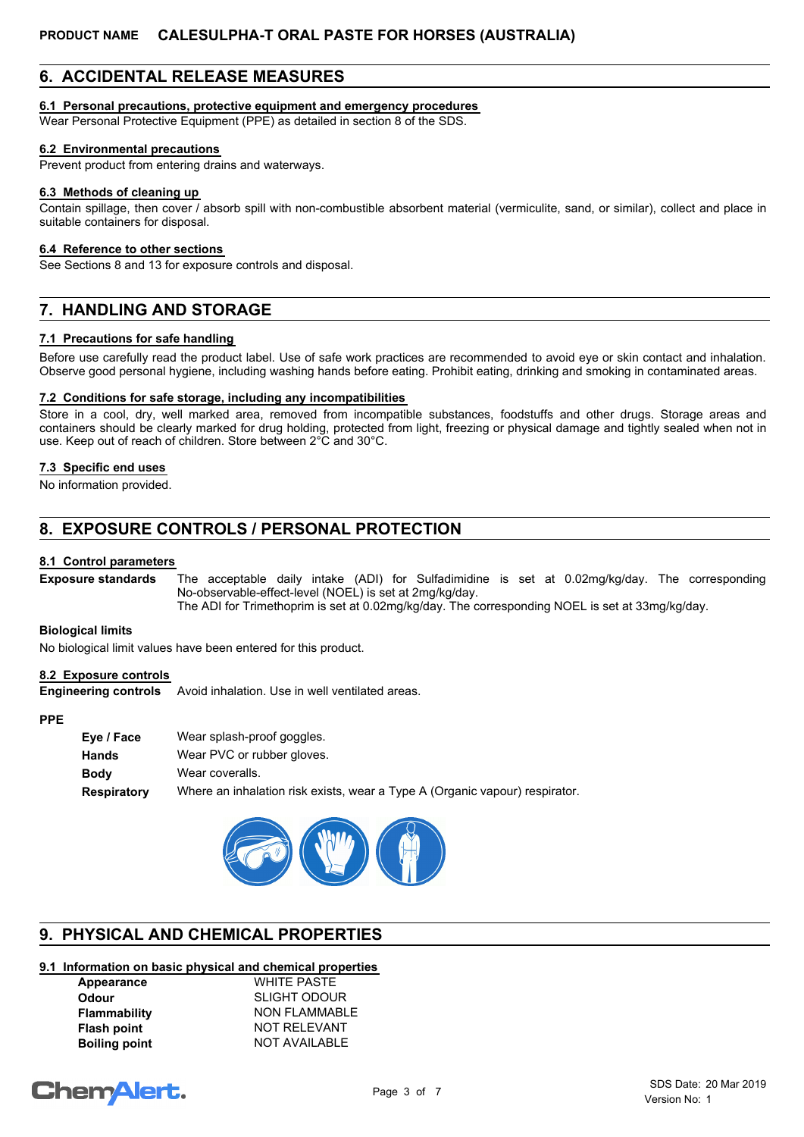# **6. ACCIDENTAL RELEASE MEASURES**

### **6.1 Personal precautions, protective equipment and emergency procedures**

Wear Personal Protective Equipment (PPE) as detailed in section 8 of the SDS.

### **6.2 Environmental precautions**

Prevent product from entering drains and waterways.

### **6.3 Methods of cleaning up**

Contain spillage, then cover / absorb spill with non-combustible absorbent material (vermiculite, sand, or similar), collect and place in suitable containers for disposal.

### **6.4 Reference to other sections**

See Sections 8 and 13 for exposure controls and disposal.

# **7. HANDLING AND STORAGE**

### **7.1 Precautions for safe handling**

Before use carefully read the product label. Use of safe work practices are recommended to avoid eye or skin contact and inhalation. Observe good personal hygiene, including washing hands before eating. Prohibit eating, drinking and smoking in contaminated areas.

### **7.2 Conditions for safe storage, including any incompatibilities**

Store in a cool, dry, well marked area, removed from incompatible substances, foodstuffs and other drugs. Storage areas and containers should be clearly marked for drug holding, protected from light, freezing or physical damage and tightly sealed when not in use. Keep out of reach of children. Store between 2°C and 30°C.

### **7.3 Specific end uses**

No information provided.

# **8. EXPOSURE CONTROLS / PERSONAL PROTECTION**

### **8.1 Control parameters**

The acceptable daily intake (ADI) for Sulfadimidine is set at 0.02mg/kg/day. The corresponding No-observable-effect-level (NOEL) is set at 2mg/kg/day. The ADI for Trimethoprim is set at 0.02mg/kg/day. The corresponding NOEL is set at 33mg/kg/day. **Exposure standards**

#### **Biological limits**

No biological limit values have been entered for this product.

### **8.2 Exposure controls**

**Engineering controls** Avoid inhalation. Use in well ventilated areas.

#### **PPE**

| Eve / Face  | Wear splash-proof goggles.                                                  |
|-------------|-----------------------------------------------------------------------------|
| Hands       | Wear PVC or rubber gloves.                                                  |
| Bodv        | Wear coveralls.                                                             |
| Respiratory | Where an inhalation risk exists, wear a Type A (Organic vapour) respirator. |



# **9. PHYSICAL AND CHEMICAL PROPERTIES**

### **9.1 Information on basic physical and chemical properties**

| Appearance           | <b>WHITE PASTE</b>   |
|----------------------|----------------------|
| Odour                | <b>SLIGHT ODOUR</b>  |
| <b>Flammability</b>  | <b>NON FLAMMABLE</b> |
| <b>Flash point</b>   | NOT RELEVANT         |
| <b>Boiling point</b> | <b>NOT AVAILABLE</b> |
|                      |                      |

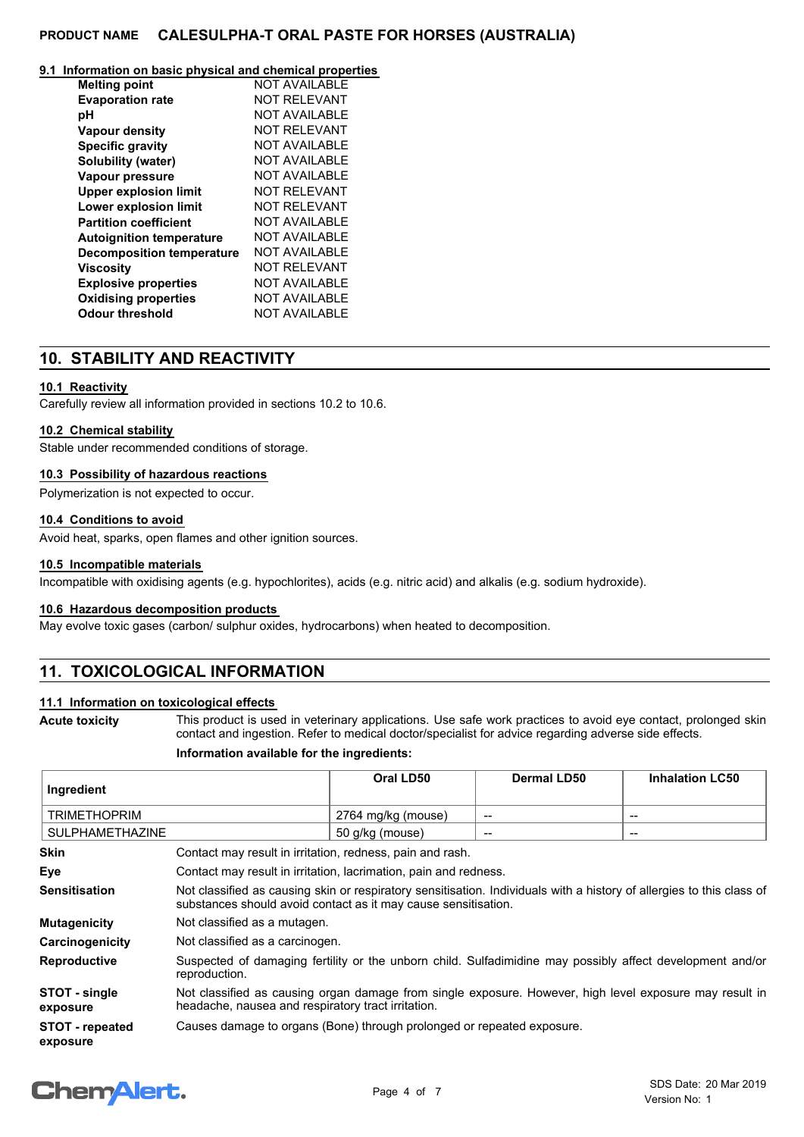#### **9.1 Information on basic physical and chemical properties**

| <b>Melting point</b>             | NOT AVAII ABI F      |
|----------------------------------|----------------------|
| <b>Evaporation rate</b>          | <b>NOT RELEVANT</b>  |
| рH                               | NOT AVAII ABI F      |
| <b>Vapour density</b>            | NOT RFI FVANT        |
| <b>Specific gravity</b>          | <b>NOT AVAILABLE</b> |
| Solubility (water)               | NOT AVAII ABI F      |
| Vapour pressure                  | NOT AVAII ABI F      |
| <b>Upper explosion limit</b>     | <b>NOT RELEVANT</b>  |
| <b>Lower explosion limit</b>     | NOT RFI FVANT        |
| <b>Partition coefficient</b>     | NOT AVAII ABI F      |
| <b>Autoignition temperature</b>  | NOT AVAII ABI F      |
| <b>Decomposition temperature</b> | NOT AVAII ABI F      |
| <b>Viscosity</b>                 | <b>NOT RELEVANT</b>  |
| <b>Explosive properties</b>      | <b>NOT AVAILABLE</b> |
| <b>Oxidising properties</b>      | <b>NOT AVAILABLE</b> |
| <b>Odour threshold</b>           | <b>NOT AVAILABLE</b> |

### **10. STABILITY AND REACTIVITY**

### **10.1 Reactivity**

Carefully review all information provided in sections 10.2 to 10.6.

#### **10.2 Chemical stability**

Stable under recommended conditions of storage.

### **10.3 Possibility of hazardous reactions**

Polymerization is not expected to occur.

### **10.4 Conditions to avoid**

Avoid heat, sparks, open flames and other ignition sources.

### **10.5 Incompatible materials**

Incompatible with oxidising agents (e.g. hypochlorites), acids (e.g. nitric acid) and alkalis (e.g. sodium hydroxide).

#### **10.6 Hazardous decomposition products**

May evolve toxic gases (carbon/ sulphur oxides, hydrocarbons) when heated to decomposition.

# **11. TOXICOLOGICAL INFORMATION**

### **11.1 Information on toxicological effects**

**Acute toxicity**

This product is used in veterinary applications. Use safe work practices to avoid eye contact, prolonged skin contact and ingestion. Refer to medical doctor/specialist for advice regarding adverse side effects.

### **Information available for the ingredients:**

| Ingredient                         |                                                                                                                                                                                         | Oral LD50       | <b>Dermal LD50</b> | <b>Inhalation LC50</b> |
|------------------------------------|-----------------------------------------------------------------------------------------------------------------------------------------------------------------------------------------|-----------------|--------------------|------------------------|
| <b>TRIMETHOPRIM</b>                | 2764 mg/kg (mouse)<br>--<br>$\qquad \qquad$                                                                                                                                             |                 |                    |                        |
| <b>SULPHAMETHAZINE</b>             |                                                                                                                                                                                         | 50 g/kg (mouse) | --                 | $\qquad \qquad$        |
| <b>Skin</b>                        | Contact may result in irritation, redness, pain and rash.                                                                                                                               |                 |                    |                        |
| Eye                                | Contact may result in irritation, lacrimation, pain and redness.                                                                                                                        |                 |                    |                        |
| <b>Sensitisation</b>               | Not classified as causing skin or respiratory sensitisation. Individuals with a history of allergies to this class of<br>substances should avoid contact as it may cause sensitisation. |                 |                    |                        |
| <b>Mutagenicity</b>                | Not classified as a mutagen.                                                                                                                                                            |                 |                    |                        |
| Carcinogenicity                    | Not classified as a carcinogen.                                                                                                                                                         |                 |                    |                        |
| <b>Reproductive</b>                | Suspected of damaging fertility or the unborn child. Sulfadimidine may possibly affect development and/or<br>reproduction.                                                              |                 |                    |                        |
| STOT - single<br>exposure          | Not classified as causing organ damage from single exposure. However, high level exposure may result in<br>headache, nausea and respiratory tract irritation.                           |                 |                    |                        |
| <b>STOT - repeated</b><br>exposure | Causes damage to organs (Bone) through prolonged or repeated exposure.                                                                                                                  |                 |                    |                        |

# **ChemAlert.**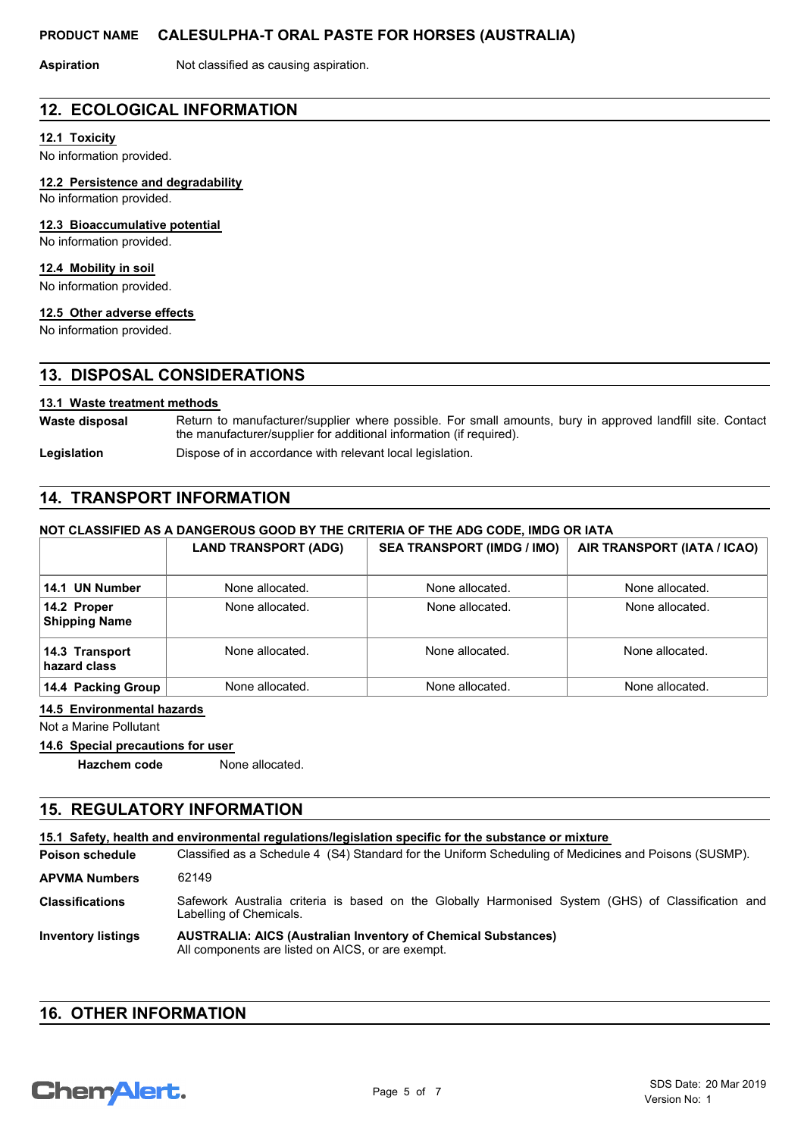**Aspiration** Not classified as causing aspiration.

### **12. ECOLOGICAL INFORMATION**

### **12.1 Toxicity**

No information provided.

#### **12.2 Persistence and degradability**

No information provided.

#### **12.3 Bioaccumulative potential**

No information provided.

#### **12.4 Mobility in soil**

No information provided.

#### **12.5 Other adverse effects**

No information provided.

### **13. DISPOSAL CONSIDERATIONS**

### **13.1 Waste treatment methods**

Return to manufacturer/supplier where possible. For small amounts, bury in approved landfill site. Contact the manufacturer/supplier for additional information (if required). **Waste disposal**

Legislation **Dispose of in accordance with relevant local legislation.** 

# **14. TRANSPORT INFORMATION**

### **NOT CLASSIFIED AS A DANGEROUS GOOD BY THE CRITERIA OF THE ADG CODE, IMDG OR IATA**

|                                     | <b>LAND TRANSPORT (ADG)</b> | <b>SEA TRANSPORT (IMDG / IMO)</b> | AIR TRANSPORT (IATA / ICAO) |
|-------------------------------------|-----------------------------|-----------------------------------|-----------------------------|
| 14.1 UN Number                      | None allocated.             | None allocated.                   | None allocated.             |
| 14.2 Proper<br><b>Shipping Name</b> | None allocated.             | None allocated.                   | None allocated.             |
| 14.3 Transport<br>hazard class      | None allocated.             | None allocated.                   | None allocated.             |
| 14.4 Packing Group                  | None allocated.             | None allocated.                   | None allocated.             |

### **14.5 Environmental hazards**

Not a Marine Pollutant

### **14.6 Special precautions for user**

**Hazchem code** None allocated.

# **15. REGULATORY INFORMATION**

| 15.1 Safety, health and environmental regulations/legislation specific for the substance or mixture |                                                                                                                               |  |
|-----------------------------------------------------------------------------------------------------|-------------------------------------------------------------------------------------------------------------------------------|--|
| <b>Poison schedule</b>                                                                              | Classified as a Schedule 4 (S4) Standard for the Uniform Scheduling of Medicines and Poisons (SUSMP).                         |  |
| <b>APVMA Numbers</b>                                                                                | 62149                                                                                                                         |  |
| <b>Classifications</b>                                                                              | Safework Australia criteria is based on the Globally Harmonised System (GHS) of Classification and<br>Labelling of Chemicals. |  |
| <b>Inventory listings</b>                                                                           | <b>AUSTRALIA: AICS (Australian Inventory of Chemical Substances)</b><br>All components are listed on AICS, or are exempt.     |  |

# **16. OTHER INFORMATION**

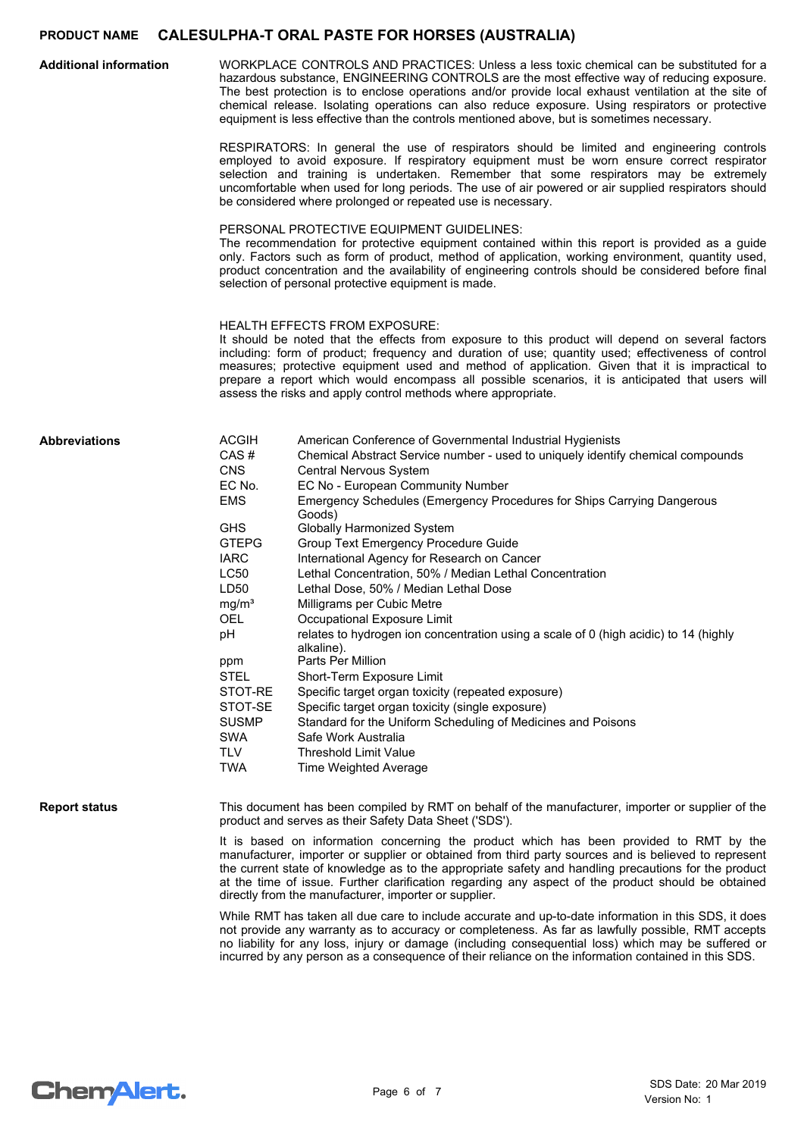| <b>Additional information</b> | WORKPLACE CONTROLS AND PRACTICES: Unless a less toxic chemical can be substituted for a<br>hazardous substance, ENGINEERING CONTROLS are the most effective way of reducing exposure.<br>The best protection is to enclose operations and/or provide local exhaust ventilation at the site of<br>chemical release. Isolating operations can also reduce exposure. Using respirators or protective<br>equipment is less effective than the controls mentioned above, but is sometimes necessary.                                                                                                                                                                                                                                                                                                                                                                             |                                                                                                                                                                                                                                                                                                                                                                                                                                                                                                                                                                                                                                                                                                                                                                                                                                                                                                                                                                                                                |  |
|-------------------------------|-----------------------------------------------------------------------------------------------------------------------------------------------------------------------------------------------------------------------------------------------------------------------------------------------------------------------------------------------------------------------------------------------------------------------------------------------------------------------------------------------------------------------------------------------------------------------------------------------------------------------------------------------------------------------------------------------------------------------------------------------------------------------------------------------------------------------------------------------------------------------------|----------------------------------------------------------------------------------------------------------------------------------------------------------------------------------------------------------------------------------------------------------------------------------------------------------------------------------------------------------------------------------------------------------------------------------------------------------------------------------------------------------------------------------------------------------------------------------------------------------------------------------------------------------------------------------------------------------------------------------------------------------------------------------------------------------------------------------------------------------------------------------------------------------------------------------------------------------------------------------------------------------------|--|
|                               | RESPIRATORS: In general the use of respirators should be limited and engineering controls<br>employed to avoid exposure. If respiratory equipment must be worn ensure correct respirator<br>selection and training is undertaken. Remember that some respirators may be extremely<br>uncomfortable when used for long periods. The use of air powered or air supplied respirators should<br>be considered where prolonged or repeated use is necessary.<br>PERSONAL PROTECTIVE EQUIPMENT GUIDELINES:<br>The recommendation for protective equipment contained within this report is provided as a guide<br>only. Factors such as form of product, method of application, working environment, quantity used,<br>product concentration and the availability of engineering controls should be considered before final<br>selection of personal protective equipment is made. |                                                                                                                                                                                                                                                                                                                                                                                                                                                                                                                                                                                                                                                                                                                                                                                                                                                                                                                                                                                                                |  |
|                               |                                                                                                                                                                                                                                                                                                                                                                                                                                                                                                                                                                                                                                                                                                                                                                                                                                                                             |                                                                                                                                                                                                                                                                                                                                                                                                                                                                                                                                                                                                                                                                                                                                                                                                                                                                                                                                                                                                                |  |
|                               |                                                                                                                                                                                                                                                                                                                                                                                                                                                                                                                                                                                                                                                                                                                                                                                                                                                                             | <b>HEALTH EFFECTS FROM EXPOSURE:</b><br>It should be noted that the effects from exposure to this product will depend on several factors<br>including: form of product; frequency and duration of use; quantity used; effectiveness of control<br>measures; protective equipment used and method of application. Given that it is impractical to<br>prepare a report which would encompass all possible scenarios, it is anticipated that users will<br>assess the risks and apply control methods where appropriate.                                                                                                                                                                                                                                                                                                                                                                                                                                                                                          |  |
| <b>Abbreviations</b>          | <b>ACGIH</b><br>CAS#<br><b>CNS</b><br>EC No.<br><b>EMS</b><br><b>GHS</b><br><b>GTEPG</b><br><b>IARC</b><br>LC50<br>LD50<br>mg/m <sup>3</sup><br><b>OEL</b><br>рH<br>ppm<br><b>STEL</b><br>STOT-RE<br>STOT-SE<br><b>SUSMP</b><br><b>SWA</b><br><b>TLV</b><br><b>TWA</b>                                                                                                                                                                                                                                                                                                                                                                                                                                                                                                                                                                                                      | American Conference of Governmental Industrial Hygienists<br>Chemical Abstract Service number - used to uniquely identify chemical compounds<br>Central Nervous System<br>EC No - European Community Number<br>Emergency Schedules (Emergency Procedures for Ships Carrying Dangerous<br>Goods)<br><b>Globally Harmonized System</b><br>Group Text Emergency Procedure Guide<br>International Agency for Research on Cancer<br>Lethal Concentration, 50% / Median Lethal Concentration<br>Lethal Dose, 50% / Median Lethal Dose<br>Milligrams per Cubic Metre<br>Occupational Exposure Limit<br>relates to hydrogen ion concentration using a scale of 0 (high acidic) to 14 (highly<br>alkaline).<br>Parts Per Million<br>Short-Term Exposure Limit<br>Specific target organ toxicity (repeated exposure)<br>Specific target organ toxicity (single exposure)<br>Standard for the Uniform Scheduling of Medicines and Poisons<br>Safe Work Australia<br><b>Threshold Limit Value</b><br>Time Weighted Average |  |
| <b>Report status</b>          |                                                                                                                                                                                                                                                                                                                                                                                                                                                                                                                                                                                                                                                                                                                                                                                                                                                                             | This document has been compiled by RMT on behalf of the manufacturer, importer or supplier of the<br>product and serves as their Safety Data Sheet ('SDS').<br>It is based on information concerning the product which has been provided to RMT by the<br>manufacturer, importer or supplier or obtained from third party sources and is believed to represent<br>the current state of knowledge as to the appropriate safety and handling precautions for the product<br>at the time of issue. Further clarification regarding any aspect of the product should be obtained<br>directly from the manufacturer, importer or supplier.                                                                                                                                                                                                                                                                                                                                                                          |  |
|                               |                                                                                                                                                                                                                                                                                                                                                                                                                                                                                                                                                                                                                                                                                                                                                                                                                                                                             | While RMT has taken all due care to include accurate and up-to-date information in this SDS, it does<br>not provide any warranty as to accuracy or completeness. As far as lawfully possible, RMT accepts<br>no liability for any loss, injury or damage (including consequential loss) which may be suffered or<br>incurred by any person as a consequence of their reliance on the information contained in this SDS.                                                                                                                                                                                                                                                                                                                                                                                                                                                                                                                                                                                        |  |